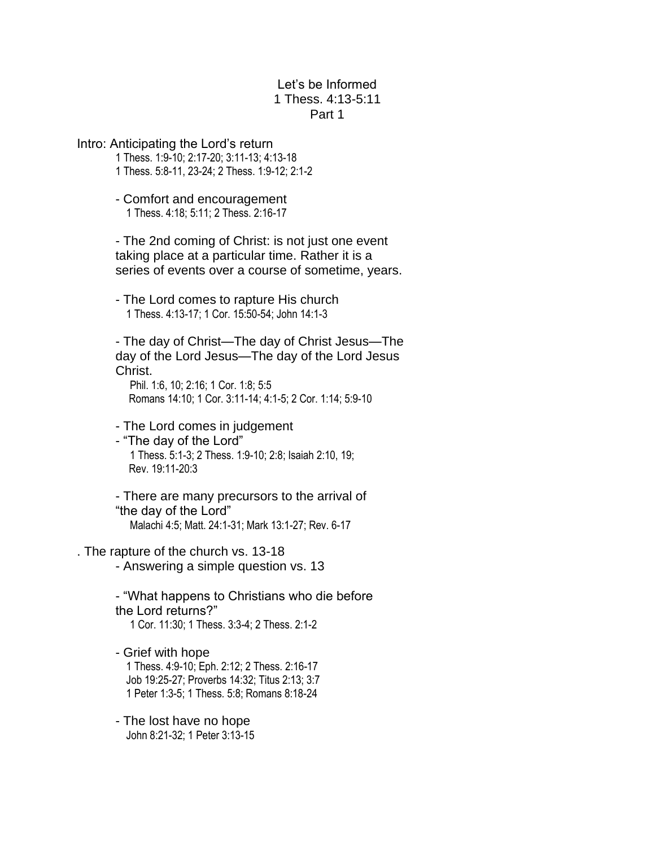## Let's be Informed 1 Thess. 4:13-5:11 Part 1

Intro: Anticipating the Lord's return 1 Thess. 1:9-10; 2:17-20; 3:11-13; 4:13-18 1 Thess. 5:8-11, 23-24; 2 Thess. 1:9-12; 2:1-2 - Comfort and encouragement 1 Thess. 4:18; 5:11; 2 Thess. 2:16-17 - The 2nd coming of Christ: is not just one event taking place at a particular time. Rather it is a series of events over a course of sometime, years. - The Lord comes to rapture His church 1 Thess. 4:13-17; 1 Cor. 15:50-54; John 14:1-3 - The day of Christ—The day of Christ Jesus—The day of the Lord Jesus—The day of the Lord Jesus Christ. Phil. 1:6, 10; 2:16; 1 Cor. 1:8; 5:5 Romans 14:10; 1 Cor. 3:11-14; 4:1-5; 2 Cor. 1:14; 5:9-10 - The Lord comes in judgement - "The day of the Lord" 1 Thess. 5:1-3; 2 Thess. 1:9-10; 2:8; Isaiah 2:10, 19; Rev. 19:11-20:3 - There are many precursors to the arrival of "the day of the Lord" Malachi 4:5; Matt. 24:1-31; Mark 13:1-27; Rev. 6-17 . The rapture of the church vs. 13-18 - Answering a simple question vs. 13 - "What happens to Christians who die before the Lord returns?" 1 Cor. 11:30; 1 Thess. 3:3-4; 2 Thess. 2:1-2 - Grief with hope 1 Thess. 4:9-10; Eph. 2:12; 2 Thess. 2:16-17 Job 19:25-27; Proverbs 14:32; Titus 2:13; 3:7

> - The lost have no hope John 8:21-32; 1 Peter 3:13-15

1 Peter 1:3-5; 1 Thess. 5:8; Romans 8:18-24